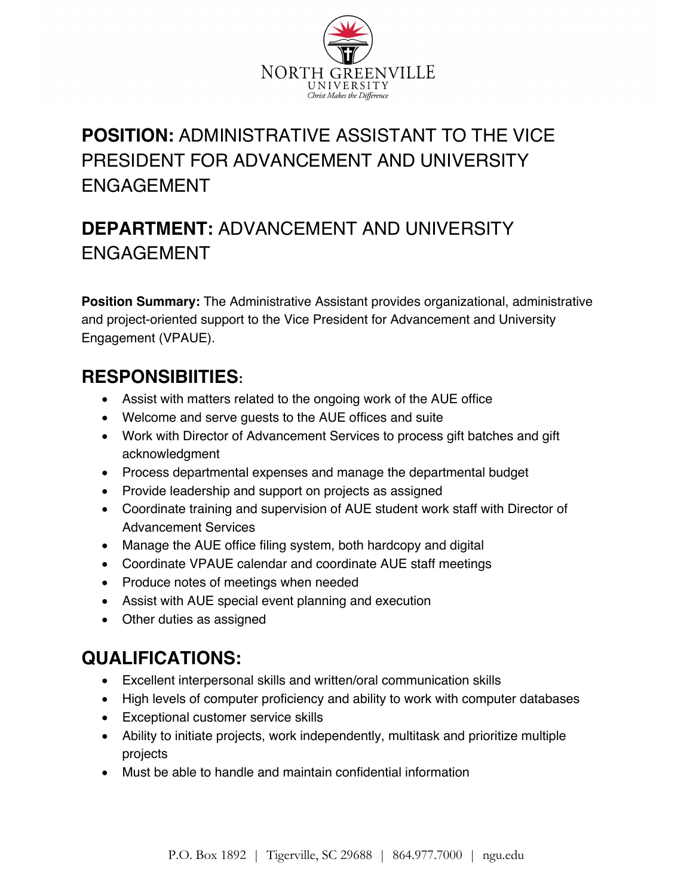

# **POSITION:** ADMINISTRATIVE ASSISTANT TO THE VICE PRESIDENT FOR ADVANCEMENT AND UNIVERSITY ENGAGEMENT

# **DEPARTMENT:** ADVANCEMENT AND UNIVERSITY ENGAGEMENT

**Position Summary:** The Administrative Assistant provides organizational, administrative and project-oriented support to the Vice President for Advancement and University Engagement (VPAUE).

### **RESPONSIBIITIES:**

- Assist with matters related to the ongoing work of the AUE office
- Welcome and serve guests to the AUE offices and suite
- Work with Director of Advancement Services to process gift batches and gift acknowledgment
- Process departmental expenses and manage the departmental budget
- Provide leadership and support on projects as assigned
- Coordinate training and supervision of AUE student work staff with Director of Advancement Services
- Manage the AUE office filing system, both hardcopy and digital
- Coordinate VPAUE calendar and coordinate AUE staff meetings
- Produce notes of meetings when needed
- Assist with AUE special event planning and execution
- Other duties as assigned

### **QUALIFICATIONS:**

- Excellent interpersonal skills and written/oral communication skills
- High levels of computer proficiency and ability to work with computer databases
- Exceptional customer service skills
- Ability to initiate projects, work independently, multitask and prioritize multiple projects
- Must be able to handle and maintain confidential information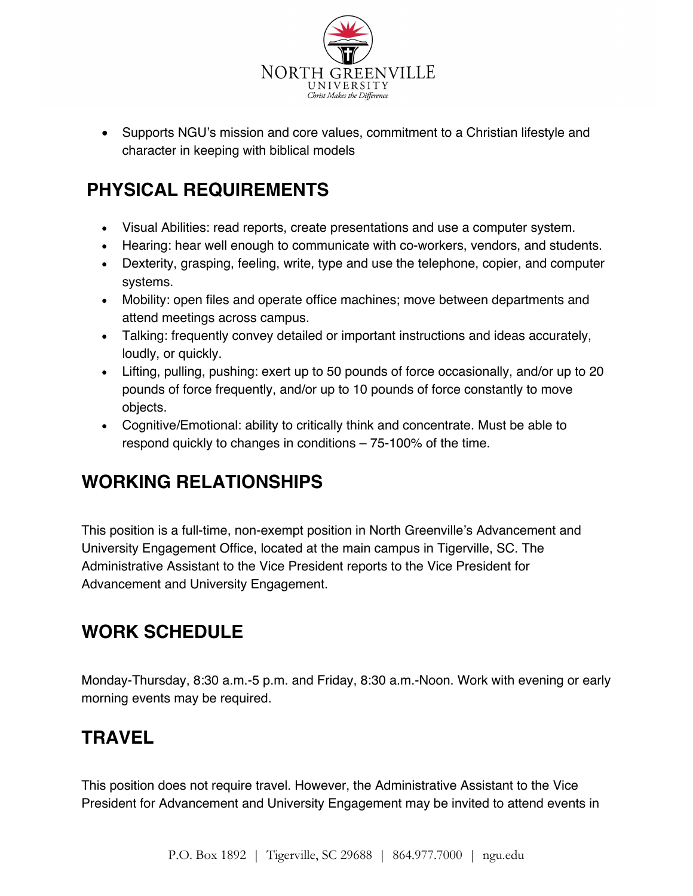

• Supports NGU's mission and core values, commitment to a Christian lifestyle and character in keeping with biblical models

# **PHYSICAL REQUIREMENTS**

- Visual Abilities: read reports, create presentations and use a computer system.
- Hearing: hear well enough to communicate with co-workers, vendors, and students.
- Dexterity, grasping, feeling, write, type and use the telephone, copier, and computer systems.
- Mobility: open files and operate office machines; move between departments and attend meetings across campus.
- Talking: frequently convey detailed or important instructions and ideas accurately, loudly, or quickly.
- Lifting, pulling, pushing: exert up to 50 pounds of force occasionally, and/or up to 20 pounds of force frequently, and/or up to 10 pounds of force constantly to move objects.
- Cognitive/Emotional: ability to critically think and concentrate. Must be able to respond quickly to changes in conditions – 75‐100% of the time.

### **WORKING RELATIONSHIPS**

This position is a full-time, non-exempt position in North Greenville's Advancement and University Engagement Office, located at the main campus in Tigerville, SC. The Administrative Assistant to the Vice President reports to the Vice President for Advancement and University Engagement.

# **WORK SCHEDULE**

Monday-Thursday, 8:30 a.m.-5 p.m. and Friday, 8:30 a.m.-Noon. Work with evening or early morning events may be required.

#### **TRAVEL**

This position does not require travel. However, the Administrative Assistant to the Vice President for Advancement and University Engagement may be invited to attend events in